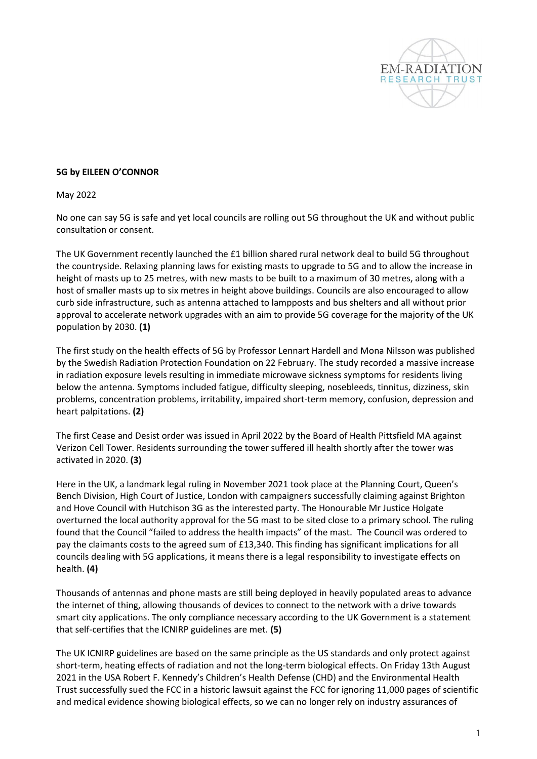

## **5G by EILEEN O'CONNOR**

May 2022

No one can say 5G is safe and yet local councils are rolling out 5G throughout the UK and without public consultation or consent.

The UK Government recently launched the £1 billion shared rural network deal to build 5G throughout the countryside. Relaxing planning laws for existing masts to upgrade to 5G and to allow the increase in height of masts up to 25 metres, with new masts to be built to a maximum of 30 metres, along with a host of smaller masts up to six metres in height above buildings. Councils are also encouraged to allow curb side infrastructure, such as antenna attached to lampposts and bus shelters and all without prior approval to accelerate network upgrades with an aim to provide 5G coverage for the majority of the UK population by 2030. **(1)**

The first study on the health effects of 5G by Professor Lennart Hardell and Mona Nilsson was published by the Swedish Radiation Protection Foundation on 22 February. The study recorded a massive increase in radiation exposure levels resulting in immediate microwave sickness symptoms for residents living below the antenna. Symptoms included fatigue, difficulty sleeping, nosebleeds, tinnitus, dizziness, skin problems, concentration problems, irritability, impaired short-term memory, confusion, depression and heart palpitations. **(2)**

The first Cease and Desist order was issued in April 2022 by the Board of Health Pittsfield MA against Verizon Cell Tower. Residents surrounding the tower suffered ill health shortly after the tower was activated in 2020. **(3)**

Here in the UK, a landmark legal ruling in November 2021 took place at the Planning Court, Queen's Bench Division, High Court of Justice, London with campaigners successfully claiming against Brighton and Hove Council with Hutchison 3G as the interested party. The Honourable Mr Justice Holgate overturned the local authority approval for the 5G mast to be sited close to a primary school. The ruling found that the Council "failed to address the health impacts" of the mast. The Council was ordered to pay the claimants costs to the agreed sum of £13,340. This finding has significant implications for all councils dealing with 5G applications, it means there is a legal responsibility to investigate effects on health. **(4)**

Thousands of antennas and phone masts are still being deployed in heavily populated areas to advance the internet of thing, allowing thousands of devices to connect to the network with a drive towards smart city applications. The only compliance necessary according to the UK Government is a statement that self-certifies that the ICNIRP guidelines are met. **(5)**

The UK ICNIRP guidelines are based on the same principle as the US standards and only protect against short-term, heating effects of radiation and not the long-term biological effects. On Friday 13th August 2021 in the USA Robert F. Kennedy's Children's Health Defense (CHD) and the Environmental Health Trust successfully sued the FCC in a historic lawsuit against the FCC for ignoring 11,000 pages of scientific and medical evidence showing biological effects, so we can no longer rely on industry assurances of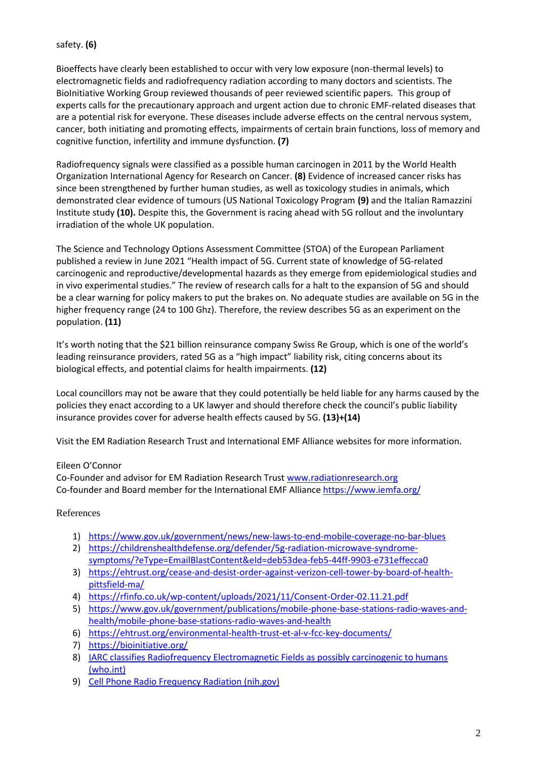## safety. **(6)**

Bioeffects have clearly been established to occur with very low exposure (non-thermal levels) to electromagnetic fields and radiofrequency radiation according to many doctors and scientists. The BioInitiative Working Group reviewed thousands of peer reviewed scientific papers. This group of experts calls for the precautionary approach and urgent action due to chronic EMF-related diseases that are a potential risk for everyone. These diseases include adverse effects on the central nervous system, cancer, both initiating and promoting effects, impairments of certain brain functions, loss of memory and cognitive function, infertility and immune dysfunction. **(7)**

Radiofrequency signals were classified as a possible human carcinogen in 2011 by the World Health Organization International Agency for Research on Cancer. **(8)** Evidence of increased cancer risks has since been strengthened by further human studies, as well as toxicology studies in animals, which demonstrated clear evidence of tumours (US National Toxicology Program **(9)** and the Italian Ramazzini Institute study **(10).** Despite this, the Government is racing ahead with 5G rollout and the involuntary irradiation of the whole UK population.

The Science and Technology Options Assessment Committee (STOA) of the European Parliament published a review in June 2021 "Health impact of 5G. Current state of knowledge of 5G-related carcinogenic and reproductive/developmental hazards as they emerge from epidemiological studies and in vivo experimental studies." The review of research calls for a halt to the expansion of 5G and should be a clear warning for policy makers to put the brakes on. No adequate studies are available on 5G in the higher frequency range (24 to 100 Ghz). Therefore, the review describes 5G as an experiment on the population. **(11)**

It's worth noting that the \$21 billion reinsurance company Swiss Re Group, which is one of the world's leading reinsurance providers, rated 5G as a "high impact" liability risk, citing concerns about its biological effects, and potential claims for health impairments. **(12)**

Local councillors may not be aware that they could potentially be held liable for any harms caused by the policies they enact according to a UK lawyer and should therefore check the council's public liability insurance provides cover for adverse health effects caused by 5G. **(13)+(14)**

Visit the EM Radiation Research Trust and International EMF Alliance websites for more information.

## Eileen O'Connor

Co-Founder and advisor for EM Radiation Research Trust [www.radiationresearch.org](http://www.radiationresearch.org/) Co-founder and Board member for the International EMF Alliance<https://www.iemfa.org/>

## References

- 1) <https://www.gov.uk/government/news/new-laws-to-end-mobile-coverage-no-bar-blues>
- 2) [https://childrenshealthdefense.org/defender/5g-radiation-microwave-syndrome](https://childrenshealthdefense.org/defender/5g-radiation-microwave-syndrome-symptoms/?eType=EmailBlastContent&eId=deb53dea-feb5-44ff-9903-e731effecca0)[symptoms/?eType=EmailBlastContent&eId=deb53dea-feb5-44ff-9903-e731effecca0](https://childrenshealthdefense.org/defender/5g-radiation-microwave-syndrome-symptoms/?eType=EmailBlastContent&eId=deb53dea-feb5-44ff-9903-e731effecca0)
- 3) [https://ehtrust.org/cease-and-desist-order-against-verizon-cell-tower-by-board-of-health](https://ehtrust.org/cease-and-desist-order-against-verizon-cell-tower-by-board-of-health-pittsfield-ma/)[pittsfield-ma/](https://ehtrust.org/cease-and-desist-order-against-verizon-cell-tower-by-board-of-health-pittsfield-ma/)
- 4) <https://rfinfo.co.uk/wp-content/uploads/2021/11/Consent-Order-02.11.21.pdf>
- 5) [https://www.gov.uk/government/publications/mobile-phone-base-stations-radio-waves-and](https://www.gov.uk/government/publications/mobile-phone-base-stations-radio-waves-and-health/mobile-phone-base-stations-radio-waves-and-health)[health/mobile-phone-base-stations-radio-waves-and-health](https://www.gov.uk/government/publications/mobile-phone-base-stations-radio-waves-and-health/mobile-phone-base-stations-radio-waves-and-health)
- 6) <https://ehtrust.org/environmental-health-trust-et-al-v-fcc-key-documents/>
- 7) <https://bioinitiative.org/>
- 8) [IARC classifies Radiofrequency Electromagnetic Fields as possibly carcinogenic to humans](https://www.iarc.who.int/wp-content/uploads/2018/07/pr208_E.pdf)  [\(who.int\)](https://www.iarc.who.int/wp-content/uploads/2018/07/pr208_E.pdf)
- 9) [Cell Phone Radio Frequency Radiation \(nih.gov\)](https://ntp.niehs.nih.gov/whatwestudy/topics/cellphones/index.html)